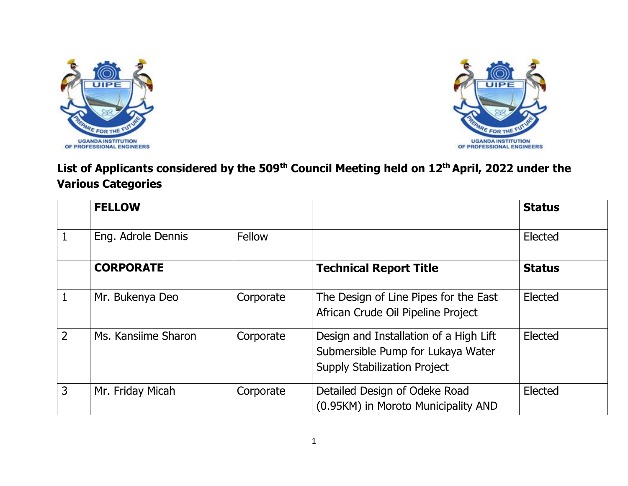



## **List of Applicants considered by the 509th Council Meeting held on 12th April, 2022 under the Various Categories**

|                | <b>FELLOW</b>       |           |                                                                                                                    | <b>Status</b> |
|----------------|---------------------|-----------|--------------------------------------------------------------------------------------------------------------------|---------------|
|                | Eng. Adrole Dennis  | Fellow    |                                                                                                                    | Elected       |
|                | <b>CORPORATE</b>    |           | <b>Technical Report Title</b>                                                                                      | <b>Status</b> |
|                | Mr. Bukenya Deo     | Corporate | The Design of Line Pipes for the East<br>African Crude Oil Pipeline Project                                        | Elected       |
| $\overline{2}$ | Ms. Kansiime Sharon | Corporate | Design and Installation of a High Lift<br>Submersible Pump for Lukaya Water<br><b>Supply Stabilization Project</b> | Elected       |
| 3              | Mr. Friday Micah    | Corporate | Detailed Design of Odeke Road<br>(0.95KM) in Moroto Municipality AND                                               | Elected       |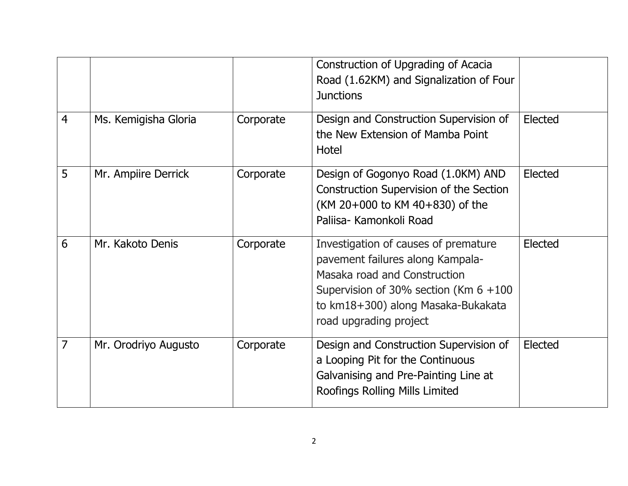|                |                      |           | Construction of Upgrading of Acacia<br>Road (1.62KM) and Signalization of Four<br><b>Junctions</b>                                                                                                                   |         |
|----------------|----------------------|-----------|----------------------------------------------------------------------------------------------------------------------------------------------------------------------------------------------------------------------|---------|
| $\overline{4}$ | Ms. Kemigisha Gloria | Corporate | Design and Construction Supervision of<br>the New Extension of Mamba Point<br>Hotel                                                                                                                                  | Elected |
| 5              | Mr. Ampiire Derrick  | Corporate | Design of Gogonyo Road (1.0KM) AND<br><b>Construction Supervision of the Section</b><br>(KM 20+000 to KM 40+830) of the<br>Paliisa- Kamonkoli Road                                                                   | Elected |
| 6              | Mr. Kakoto Denis     | Corporate | Investigation of causes of premature<br>pavement failures along Kampala-<br>Masaka road and Construction<br>Supervision of 30% section (Km $6 + 100$<br>to km18+300) along Masaka-Bukakata<br>road upgrading project | Elected |
| 7              | Mr. Orodriyo Augusto | Corporate | Design and Construction Supervision of<br>a Looping Pit for the Continuous<br>Galvanising and Pre-Painting Line at<br>Roofings Rolling Mills Limited                                                                 | Elected |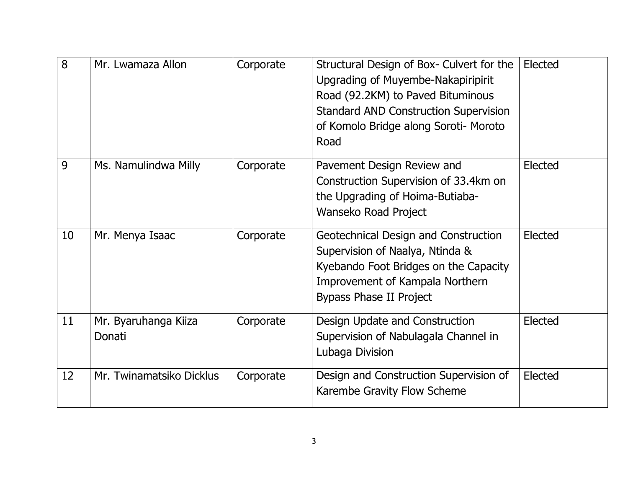| 8  | Mr. Lwamaza Allon              | Corporate | Structural Design of Box- Culvert for the<br>Upgrading of Muyembe-Nakapiripirit<br>Road (92.2KM) to Paved Bituminous<br><b>Standard AND Construction Supervision</b><br>of Komolo Bridge along Soroti- Moroto<br>Road | Elected |
|----|--------------------------------|-----------|-----------------------------------------------------------------------------------------------------------------------------------------------------------------------------------------------------------------------|---------|
| 9  | Ms. Namulindwa Milly           | Corporate | Pavement Design Review and<br>Construction Supervision of 33.4km on<br>the Upgrading of Hoima-Butiaba-<br>Wanseko Road Project                                                                                        | Elected |
| 10 | Mr. Menya Isaac                | Corporate | Geotechnical Design and Construction<br>Supervision of Naalya, Ntinda &<br>Kyebando Foot Bridges on the Capacity<br>Improvement of Kampala Northern<br>Bypass Phase II Project                                        | Elected |
| 11 | Mr. Byaruhanga Kiiza<br>Donati | Corporate | Design Update and Construction<br>Supervision of Nabulagala Channel in<br>Lubaga Division                                                                                                                             | Elected |
| 12 | Mr. Twinamatsiko Dicklus       | Corporate | Design and Construction Supervision of<br>Karembe Gravity Flow Scheme                                                                                                                                                 | Elected |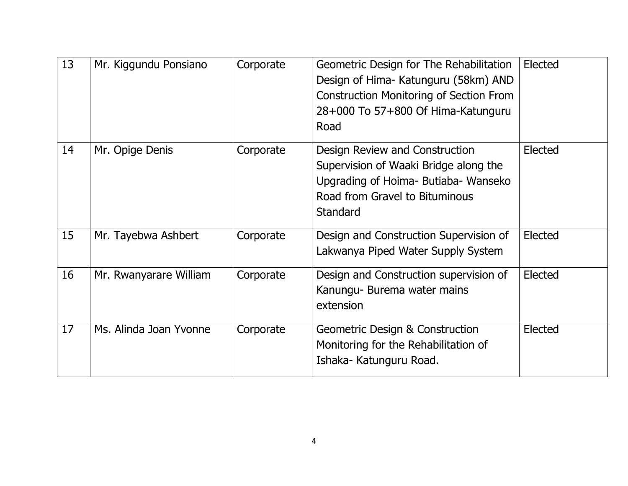| 13 | Mr. Kiggundu Ponsiano  | Corporate | Geometric Design for The Rehabilitation<br>Design of Hima- Katunguru (58km) AND<br><b>Construction Monitoring of Section From</b><br>28+000 To 57+800 Of Hima-Katunguru<br>Road | Elected |
|----|------------------------|-----------|---------------------------------------------------------------------------------------------------------------------------------------------------------------------------------|---------|
| 14 | Mr. Opige Denis        | Corporate | Design Review and Construction<br>Supervision of Waaki Bridge along the<br>Upgrading of Hoima- Butiaba- Wanseko<br>Road from Gravel to Bituminous<br>Standard                   | Elected |
| 15 | Mr. Tayebwa Ashbert    | Corporate | Design and Construction Supervision of<br>Lakwanya Piped Water Supply System                                                                                                    | Elected |
| 16 | Mr. Rwanyarare William | Corporate | Design and Construction supervision of<br>Kanungu- Burema water mains<br>extension                                                                                              | Elected |
| 17 | Ms. Alinda Joan Yvonne | Corporate | <b>Geometric Design &amp; Construction</b><br>Monitoring for the Rehabilitation of<br>Ishaka- Katunguru Road.                                                                   | Elected |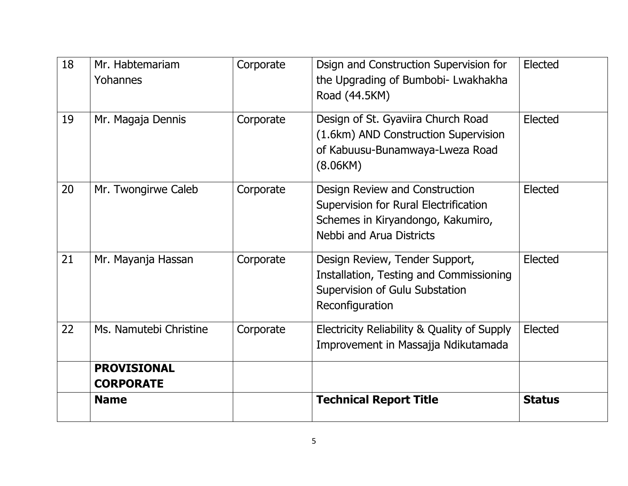| 18 | Mr. Habtemariam<br>Yohannes            | Corporate | Dsign and Construction Supervision for<br>the Upgrading of Bumbobi- Lwakhakha<br>Road (44.5KM)                                                  | Elected       |
|----|----------------------------------------|-----------|-------------------------------------------------------------------------------------------------------------------------------------------------|---------------|
| 19 | Mr. Magaja Dennis                      | Corporate | Design of St. Gyaviira Church Road<br>(1.6km) AND Construction Supervision<br>of Kabuusu-Bunamwaya-Lweza Road<br>(8.06KM)                       | Elected       |
| 20 | Mr. Twongirwe Caleb                    | Corporate | Design Review and Construction<br>Supervision for Rural Electrification<br>Schemes in Kiryandongo, Kakumiro,<br><b>Nebbi and Arua Districts</b> | Elected       |
| 21 | Mr. Mayanja Hassan                     | Corporate | Design Review, Tender Support,<br>Installation, Testing and Commissioning<br>Supervision of Gulu Substation<br>Reconfiguration                  | Elected       |
| 22 | Ms. Namutebi Christine                 | Corporate | Electricity Reliability & Quality of Supply<br>Improvement in Massajja Ndikutamada                                                              | Elected       |
|    | <b>PROVISIONAL</b><br><b>CORPORATE</b> |           |                                                                                                                                                 |               |
|    | <b>Name</b>                            |           | <b>Technical Report Title</b>                                                                                                                   | <b>Status</b> |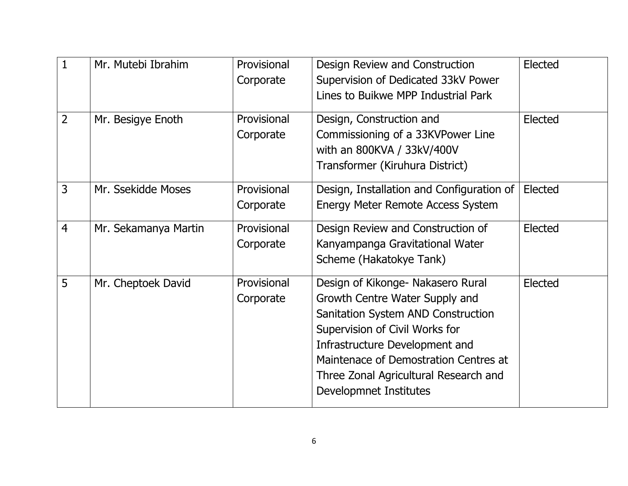| $\mathbf{1}$   | Mr. Mutebi Ibrahim   | Provisional<br>Corporate | Design Review and Construction<br>Supervision of Dedicated 33kV Power<br>Lines to Buikwe MPP Industrial Park                                                                                                                                                                              | Elected |
|----------------|----------------------|--------------------------|-------------------------------------------------------------------------------------------------------------------------------------------------------------------------------------------------------------------------------------------------------------------------------------------|---------|
| $\overline{2}$ | Mr. Besigye Enoth    | Provisional<br>Corporate | Design, Construction and<br>Commissioning of a 33KVPower Line<br>with an 800KVA / 33kV/400V<br>Transformer (Kiruhura District)                                                                                                                                                            | Elected |
| $\overline{3}$ | Mr. Ssekidde Moses   | Provisional<br>Corporate | Design, Installation and Configuration of<br><b>Energy Meter Remote Access System</b>                                                                                                                                                                                                     | Elected |
| $\overline{4}$ | Mr. Sekamanya Martin | Provisional<br>Corporate | Design Review and Construction of<br>Kanyampanga Gravitational Water<br>Scheme (Hakatokye Tank)                                                                                                                                                                                           | Elected |
| 5              | Mr. Cheptoek David   | Provisional<br>Corporate | Design of Kikonge- Nakasero Rural<br>Growth Centre Water Supply and<br>Sanitation System AND Construction<br>Supervision of Civil Works for<br>Infrastructure Development and<br>Maintenace of Demostration Centres at<br>Three Zonal Agricultural Research and<br>Developmnet Institutes | Elected |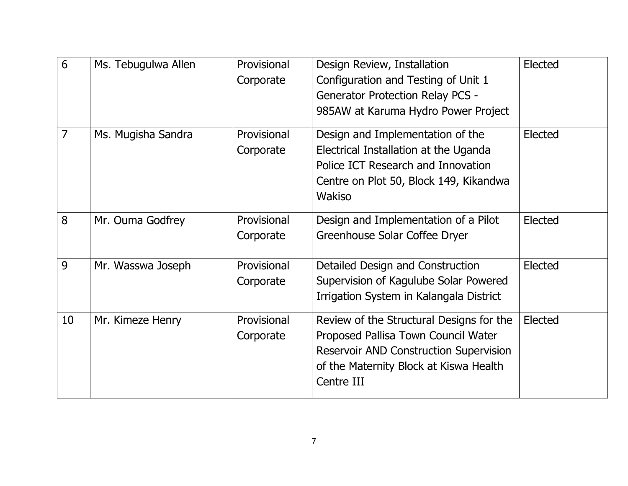| 6              | Ms. Tebugulwa Allen | Provisional | Design Review, Installation                   | Elected |
|----------------|---------------------|-------------|-----------------------------------------------|---------|
|                |                     | Corporate   | Configuration and Testing of Unit 1           |         |
|                |                     |             | <b>Generator Protection Relay PCS -</b>       |         |
|                |                     |             | 985AW at Karuma Hydro Power Project           |         |
| $\overline{7}$ | Ms. Mugisha Sandra  | Provisional | Design and Implementation of the              | Elected |
|                |                     | Corporate   | Electrical Installation at the Uganda         |         |
|                |                     |             | Police ICT Research and Innovation            |         |
|                |                     |             | Centre on Plot 50, Block 149, Kikandwa        |         |
|                |                     |             | Wakiso                                        |         |
| 8              | Mr. Ouma Godfrey    | Provisional | Design and Implementation of a Pilot          | Elected |
|                |                     |             |                                               |         |
|                |                     | Corporate   | Greenhouse Solar Coffee Dryer                 |         |
| 9              | Mr. Wasswa Joseph   | Provisional | Detailed Design and Construction              | Elected |
|                |                     | Corporate   | Supervision of Kagulube Solar Powered         |         |
|                |                     |             | Irrigation System in Kalangala District       |         |
| 10             | Mr. Kimeze Henry    | Provisional | Review of the Structural Designs for the      | Elected |
|                |                     | Corporate   | Proposed Pallisa Town Council Water           |         |
|                |                     |             | <b>Reservoir AND Construction Supervision</b> |         |
|                |                     |             | of the Maternity Block at Kiswa Health        |         |
|                |                     |             | Centre III                                    |         |
|                |                     |             |                                               |         |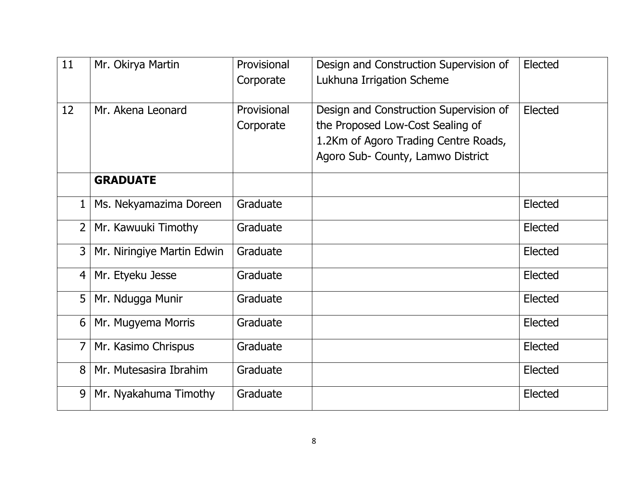| 11 | Mr. Okirya Martin          | Provisional | Design and Construction Supervision of | Elected |
|----|----------------------------|-------------|----------------------------------------|---------|
|    |                            | Corporate   | Lukhuna Irrigation Scheme              |         |
|    |                            |             |                                        |         |
| 12 | Mr. Akena Leonard          | Provisional | Design and Construction Supervision of | Elected |
|    |                            | Corporate   | the Proposed Low-Cost Sealing of       |         |
|    |                            |             | 1.2Km of Agoro Trading Centre Roads,   |         |
|    |                            |             | Agoro Sub- County, Lamwo District      |         |
|    | <b>GRADUATE</b>            |             |                                        |         |
| 1  | Ms. Nekyamazima Doreen     | Graduate    |                                        | Elected |
| 2  | Mr. Kawuuki Timothy        | Graduate    |                                        | Elected |
| 3  | Mr. Niringiye Martin Edwin | Graduate    |                                        | Elected |
| 4  | Mr. Etyeku Jesse           | Graduate    |                                        | Elected |
| 5  | Mr. Ndugga Munir           | Graduate    |                                        | Elected |
| 6  | Mr. Mugyema Morris         | Graduate    |                                        | Elected |
| 7  | Mr. Kasimo Chrispus        | Graduate    |                                        | Elected |
| 8  | Mr. Mutesasira Ibrahim     | Graduate    |                                        | Elected |
| 9  | Mr. Nyakahuma Timothy      | Graduate    |                                        | Elected |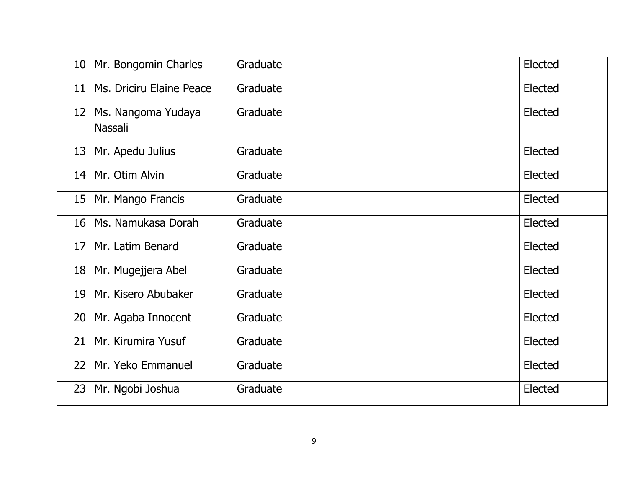| 10 <sup>°</sup> | Mr. Bongomin Charles          | Graduate | Elected |
|-----------------|-------------------------------|----------|---------|
| 11              | Ms. Driciru Elaine Peace      | Graduate | Elected |
| 12              | Ms. Nangoma Yudaya<br>Nassali | Graduate | Elected |
| 13              | Mr. Apedu Julius              | Graduate | Elected |
| 14              | Mr. Otim Alvin                | Graduate | Elected |
| 15              | Mr. Mango Francis             | Graduate | Elected |
| 16              | Ms. Namukasa Dorah            | Graduate | Elected |
| 17              | Mr. Latim Benard              | Graduate | Elected |
| 18              | Mr. Mugejjera Abel            | Graduate | Elected |
| 19              | Mr. Kisero Abubaker           | Graduate | Elected |
| 20              | Mr. Agaba Innocent            | Graduate | Elected |
| 21              | Mr. Kirumira Yusuf            | Graduate | Elected |
| 22              | Mr. Yeko Emmanuel             | Graduate | Elected |
| 23              | Mr. Ngobi Joshua              | Graduate | Elected |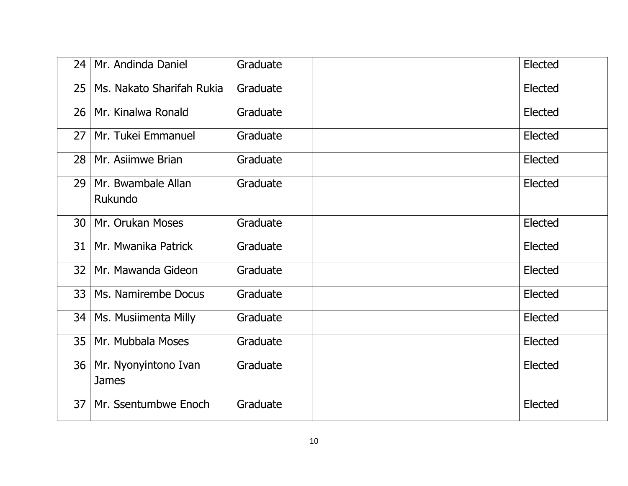| 24              | Mr. Andinda Daniel                   | Graduate | Elected |
|-----------------|--------------------------------------|----------|---------|
| 25              | Ms. Nakato Sharifah Rukia            | Graduate | Elected |
| 26              | Mr. Kinalwa Ronald                   | Graduate | Elected |
| 27 <sub>1</sub> | Mr. Tukei Emmanuel                   | Graduate | Elected |
| 28              | Mr. Asiimwe Brian                    | Graduate | Elected |
| 29              | Mr. Bwambale Allan<br>Rukundo        | Graduate | Elected |
| 30              | Mr. Orukan Moses                     | Graduate | Elected |
| 31              | Mr. Mwanika Patrick                  | Graduate | Elected |
| 32              | Mr. Mawanda Gideon                   | Graduate | Elected |
| 33              | Ms. Namirembe Docus                  | Graduate | Elected |
| 34 l            | Ms. Musiimenta Milly                 | Graduate | Elected |
| 35              | Mr. Mubbala Moses                    | Graduate | Elected |
| 36              | Mr. Nyonyintono Ivan<br><b>James</b> | Graduate | Elected |
| 37              | Mr. Ssentumbwe Enoch                 | Graduate | Elected |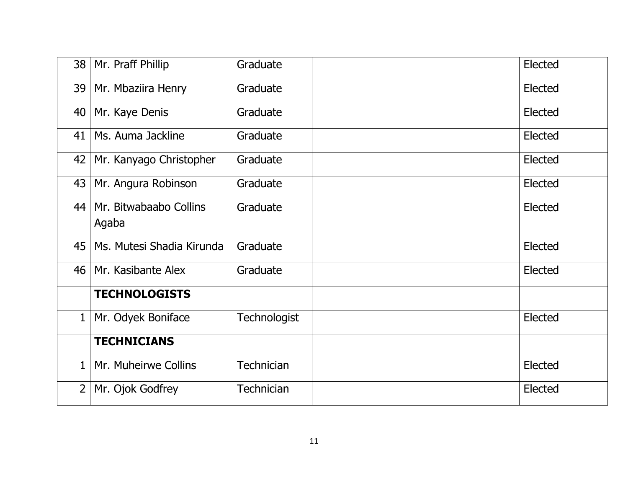| 38             | Mr. Praff Phillip               | Graduate          | Elected |
|----------------|---------------------------------|-------------------|---------|
| 39             | Mr. Mbaziira Henry              | Graduate          | Elected |
| 40             | Mr. Kaye Denis                  | Graduate          | Elected |
| 41             | Ms. Auma Jackline               | Graduate          | Elected |
| 42             | Mr. Kanyago Christopher         | Graduate          | Elected |
| 43             | Mr. Angura Robinson             | Graduate          | Elected |
| 44             | Mr. Bitwabaabo Collins<br>Agaba | Graduate          | Elected |
| 45             | Ms. Mutesi Shadia Kirunda       | Graduate          | Elected |
| 46             | Mr. Kasibante Alex              | Graduate          | Elected |
|                | <b>TECHNOLOGISTS</b>            |                   |         |
| $\mathbf{1}$   | Mr. Odyek Boniface              | Technologist      | Elected |
|                | <b>TECHNICIANS</b>              |                   |         |
| $\mathbf{1}$   | Mr. Muheirwe Collins            | <b>Technician</b> | Elected |
| $\overline{2}$ | Mr. Ojok Godfrey                | <b>Technician</b> | Elected |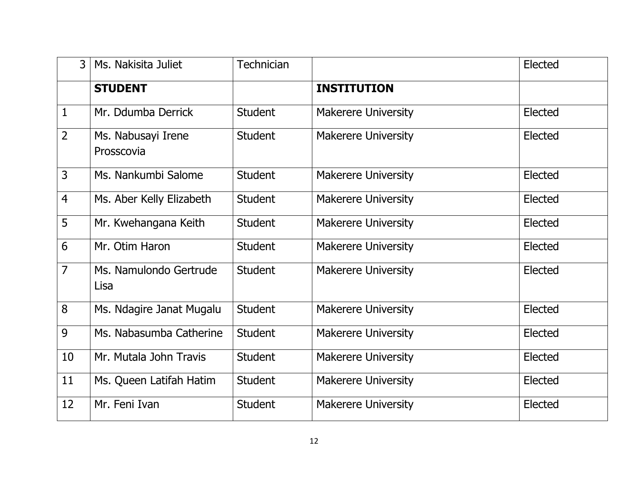| 3              | Ms. Nakisita Juliet              | Technician     |                            | Elected |
|----------------|----------------------------------|----------------|----------------------------|---------|
|                | <b>STUDENT</b>                   |                | <b>INSTITUTION</b>         |         |
| $\mathbf{1}$   | Mr. Ddumba Derrick               | <b>Student</b> | <b>Makerere University</b> | Elected |
| $\overline{2}$ | Ms. Nabusayi Irene<br>Prosscovia | <b>Student</b> | <b>Makerere University</b> | Elected |
| $\overline{3}$ | Ms. Nankumbi Salome              | <b>Student</b> | <b>Makerere University</b> | Elected |
| $\overline{4}$ | Ms. Aber Kelly Elizabeth         | <b>Student</b> | <b>Makerere University</b> | Elected |
| 5              | Mr. Kwehangana Keith             | <b>Student</b> | <b>Makerere University</b> | Elected |
| 6              | Mr. Otim Haron                   | <b>Student</b> | <b>Makerere University</b> | Elected |
| $\overline{7}$ | Ms. Namulondo Gertrude<br>Lisa   | <b>Student</b> | <b>Makerere University</b> | Elected |
| 8              | Ms. Ndagire Janat Mugalu         | <b>Student</b> | Makerere University        | Elected |
| 9              | Ms. Nabasumba Catherine          | <b>Student</b> | <b>Makerere University</b> | Elected |
| 10             | Mr. Mutala John Travis           | <b>Student</b> | <b>Makerere University</b> | Elected |
| 11             | Ms. Queen Latifah Hatim          | <b>Student</b> | <b>Makerere University</b> | Elected |
| 12             | Mr. Feni Ivan                    | <b>Student</b> | <b>Makerere University</b> | Elected |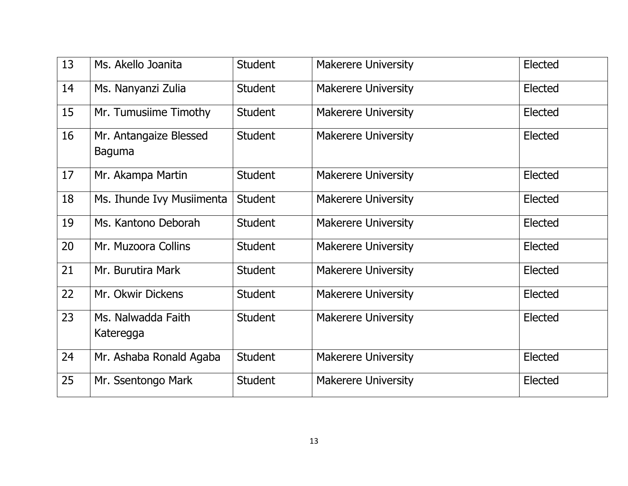| 13 | Ms. Akello Joanita                      | <b>Student</b> | <b>Makerere University</b> | Elected |
|----|-----------------------------------------|----------------|----------------------------|---------|
| 14 | Ms. Nanyanzi Zulia                      | <b>Student</b> | <b>Makerere University</b> | Elected |
| 15 | Mr. Tumusiime Timothy                   | <b>Student</b> | <b>Makerere University</b> | Elected |
| 16 | Mr. Antangaize Blessed<br><b>Baguma</b> | <b>Student</b> | <b>Makerere University</b> | Elected |
| 17 | Mr. Akampa Martin                       | <b>Student</b> | <b>Makerere University</b> | Elected |
| 18 | Ms. Ihunde Ivy Musiimenta               | <b>Student</b> | <b>Makerere University</b> | Elected |
| 19 | Ms. Kantono Deborah                     | <b>Student</b> | <b>Makerere University</b> | Elected |
| 20 | Mr. Muzoora Collins                     | <b>Student</b> | <b>Makerere University</b> | Elected |
| 21 | Mr. Burutira Mark                       | <b>Student</b> | <b>Makerere University</b> | Elected |
| 22 | Mr. Okwir Dickens                       | <b>Student</b> | <b>Makerere University</b> | Elected |
| 23 | Ms. Nalwadda Faith<br>Kateregga         | <b>Student</b> | <b>Makerere University</b> | Elected |
| 24 | Mr. Ashaba Ronald Agaba                 | <b>Student</b> | <b>Makerere University</b> | Elected |
| 25 | Mr. Ssentongo Mark                      | <b>Student</b> | <b>Makerere University</b> | Elected |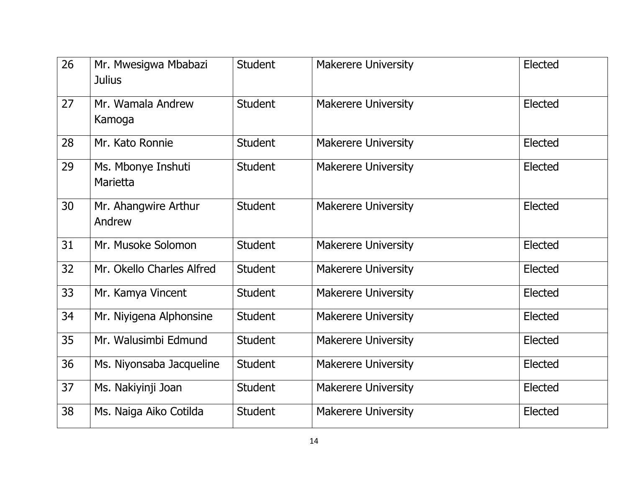| 26 | Mr. Mwesigwa Mbabazi<br><b>Julius</b> | <b>Student</b> | <b>Makerere University</b> | Elected |
|----|---------------------------------------|----------------|----------------------------|---------|
| 27 | Mr. Wamala Andrew<br>Kamoga           | <b>Student</b> | <b>Makerere University</b> | Elected |
| 28 | Mr. Kato Ronnie                       | <b>Student</b> | <b>Makerere University</b> | Elected |
| 29 | Ms. Mbonye Inshuti<br>Marietta        | <b>Student</b> | <b>Makerere University</b> | Elected |
| 30 | Mr. Ahangwire Arthur<br>Andrew        | <b>Student</b> | <b>Makerere University</b> | Elected |
| 31 | Mr. Musoke Solomon                    | <b>Student</b> | <b>Makerere University</b> | Elected |
| 32 | Mr. Okello Charles Alfred             | <b>Student</b> | <b>Makerere University</b> | Elected |
| 33 | Mr. Kamya Vincent                     | <b>Student</b> | <b>Makerere University</b> | Elected |
| 34 | Mr. Niyigena Alphonsine               | <b>Student</b> | <b>Makerere University</b> | Elected |
| 35 | Mr. Walusimbi Edmund                  | <b>Student</b> | <b>Makerere University</b> | Elected |
| 36 | Ms. Niyonsaba Jacqueline              | <b>Student</b> | <b>Makerere University</b> | Elected |
| 37 | Ms. Nakiyinji Joan                    | <b>Student</b> | <b>Makerere University</b> | Elected |
| 38 | Ms. Naiga Aiko Cotilda                | <b>Student</b> | <b>Makerere University</b> | Elected |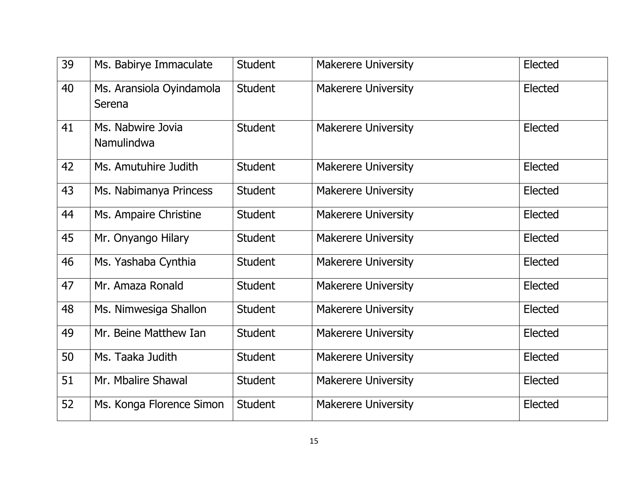| 39 | Ms. Babirye Immaculate             | <b>Student</b> | <b>Makerere University</b> | Elected |
|----|------------------------------------|----------------|----------------------------|---------|
| 40 | Ms. Aransiola Oyindamola<br>Serena | <b>Student</b> | <b>Makerere University</b> | Elected |
| 41 | Ms. Nabwire Jovia<br>Namulindwa    | <b>Student</b> | <b>Makerere University</b> | Elected |
| 42 | Ms. Amutuhire Judith               | <b>Student</b> | <b>Makerere University</b> | Elected |
| 43 | Ms. Nabimanya Princess             | <b>Student</b> | <b>Makerere University</b> | Elected |
| 44 | Ms. Ampaire Christine              | <b>Student</b> | <b>Makerere University</b> | Elected |
| 45 | Mr. Onyango Hilary                 | <b>Student</b> | <b>Makerere University</b> | Elected |
| 46 | Ms. Yashaba Cynthia                | <b>Student</b> | <b>Makerere University</b> | Elected |
| 47 | Mr. Amaza Ronald                   | <b>Student</b> | <b>Makerere University</b> | Elected |
| 48 | Ms. Nimwesiga Shallon              | <b>Student</b> | <b>Makerere University</b> | Elected |
| 49 | Mr. Beine Matthew Ian              | <b>Student</b> | <b>Makerere University</b> | Elected |
| 50 | Ms. Taaka Judith                   | <b>Student</b> | <b>Makerere University</b> | Elected |
| 51 | Mr. Mbalire Shawal                 | <b>Student</b> | <b>Makerere University</b> | Elected |
| 52 | Ms. Konga Florence Simon           | <b>Student</b> | <b>Makerere University</b> | Elected |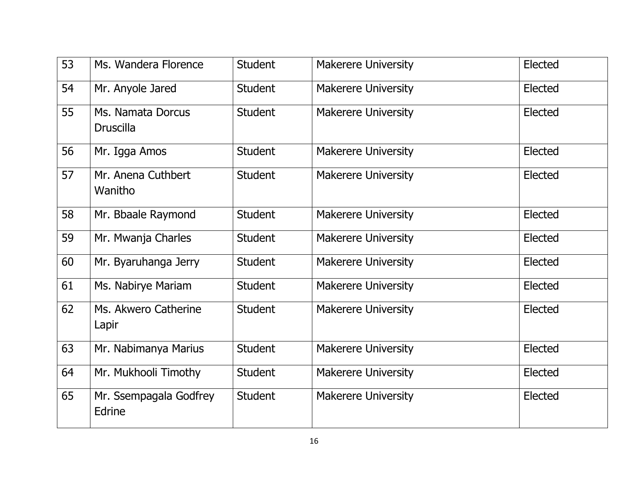| 53 | Ms. Wandera Florence                  | <b>Student</b> | <b>Makerere University</b> | Elected |
|----|---------------------------------------|----------------|----------------------------|---------|
| 54 | Mr. Anyole Jared                      | <b>Student</b> | <b>Makerere University</b> | Elected |
| 55 | Ms. Namata Dorcus<br><b>Druscilla</b> | <b>Student</b> | <b>Makerere University</b> | Elected |
| 56 | Mr. Igga Amos                         | <b>Student</b> | <b>Makerere University</b> | Elected |
| 57 | Mr. Anena Cuthbert<br>Wanitho         | <b>Student</b> | <b>Makerere University</b> | Elected |
| 58 | Mr. Bbaale Raymond                    | <b>Student</b> | <b>Makerere University</b> | Elected |
| 59 | Mr. Mwanja Charles                    | <b>Student</b> | <b>Makerere University</b> | Elected |
| 60 | Mr. Byaruhanga Jerry                  | <b>Student</b> | <b>Makerere University</b> | Elected |
| 61 | Ms. Nabirye Mariam                    | <b>Student</b> | <b>Makerere University</b> | Elected |
| 62 | Ms. Akwero Catherine<br>Lapir         | <b>Student</b> | <b>Makerere University</b> | Elected |
| 63 | Mr. Nabimanya Marius                  | <b>Student</b> | <b>Makerere University</b> | Elected |
| 64 | Mr. Mukhooli Timothy                  | <b>Student</b> | <b>Makerere University</b> | Elected |
| 65 | Mr. Ssempagala Godfrey<br>Edrine      | <b>Student</b> | <b>Makerere University</b> | Elected |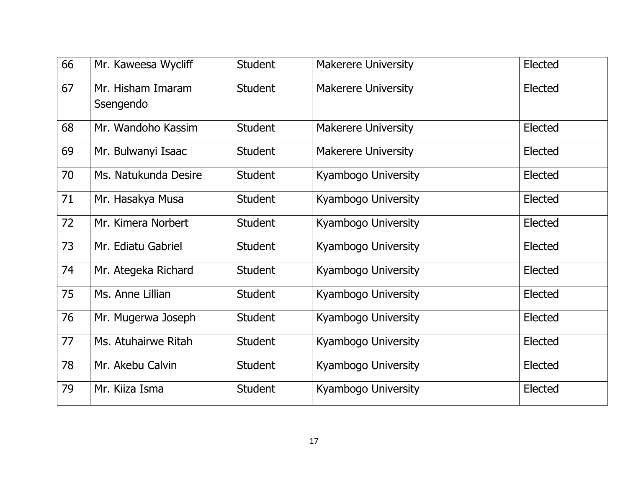| 66 | Mr. Kaweesa Wycliff            | <b>Student</b> | <b>Makerere University</b> | Elected |
|----|--------------------------------|----------------|----------------------------|---------|
| 67 | Mr. Hisham Imaram<br>Ssengendo | <b>Student</b> | <b>Makerere University</b> | Elected |
| 68 | Mr. Wandoho Kassim             | <b>Student</b> | <b>Makerere University</b> | Elected |
| 69 | Mr. Bulwanyi Isaac             | <b>Student</b> | <b>Makerere University</b> | Elected |
| 70 | Ms. Natukunda Desire           | <b>Student</b> | Kyambogo University        | Elected |
| 71 | Mr. Hasakya Musa               | <b>Student</b> | Kyambogo University        | Elected |
| 72 | Mr. Kimera Norbert             | <b>Student</b> | Kyambogo University        | Elected |
| 73 | Mr. Ediatu Gabriel             | <b>Student</b> | Kyambogo University        | Elected |
| 74 | Mr. Ategeka Richard            | <b>Student</b> | Kyambogo University        | Elected |
| 75 | Ms. Anne Lillian               | <b>Student</b> | Kyambogo University        | Elected |
| 76 | Mr. Mugerwa Joseph             | <b>Student</b> | Kyambogo University        | Elected |
| 77 | Ms. Atuhairwe Ritah            | <b>Student</b> | Kyambogo University        | Elected |
| 78 | Mr. Akebu Calvin               | <b>Student</b> | Kyambogo University        | Elected |
| 79 | Mr. Kiiza Isma                 | <b>Student</b> | Kyambogo University        | Elected |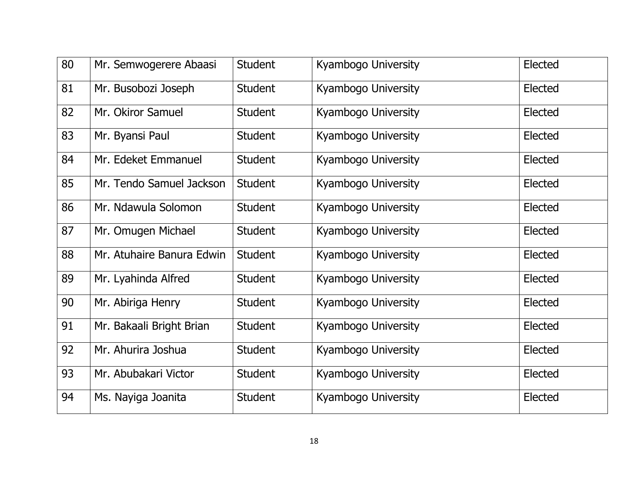| 80 | Mr. Semwogerere Abaasi    | <b>Student</b> | Kyambogo University | Elected |
|----|---------------------------|----------------|---------------------|---------|
| 81 | Mr. Busobozi Joseph       | <b>Student</b> | Kyambogo University | Elected |
| 82 | Mr. Okiror Samuel         | <b>Student</b> | Kyambogo University | Elected |
| 83 | Mr. Byansi Paul           | <b>Student</b> | Kyambogo University | Elected |
| 84 | Mr. Edeket Emmanuel       | <b>Student</b> | Kyambogo University | Elected |
| 85 | Mr. Tendo Samuel Jackson  | <b>Student</b> | Kyambogo University | Elected |
| 86 | Mr. Ndawula Solomon       | <b>Student</b> | Kyambogo University | Elected |
| 87 | Mr. Omugen Michael        | <b>Student</b> | Kyambogo University | Elected |
| 88 | Mr. Atuhaire Banura Edwin | <b>Student</b> | Kyambogo University | Elected |
| 89 | Mr. Lyahinda Alfred       | <b>Student</b> | Kyambogo University | Elected |
| 90 | Mr. Abiriga Henry         | <b>Student</b> | Kyambogo University | Elected |
| 91 | Mr. Bakaali Bright Brian  | <b>Student</b> | Kyambogo University | Elected |
| 92 | Mr. Ahurira Joshua        | <b>Student</b> | Kyambogo University | Elected |
| 93 | Mr. Abubakari Victor      | <b>Student</b> | Kyambogo University | Elected |
| 94 | Ms. Nayiga Joanita        | <b>Student</b> | Kyambogo University | Elected |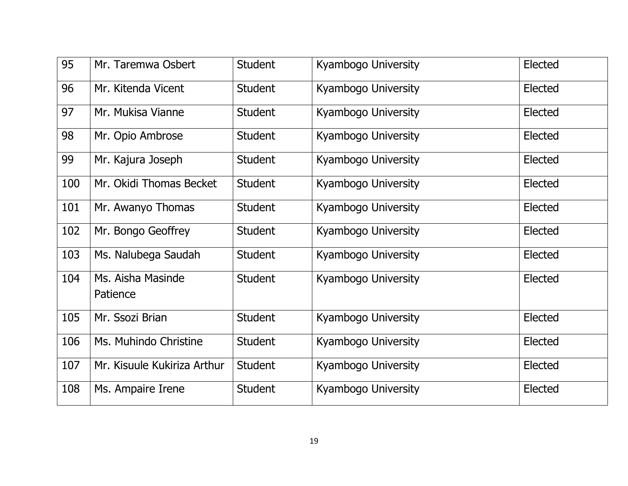| 95  | Mr. Taremwa Osbert            | <b>Student</b> | Kyambogo University | Elected |
|-----|-------------------------------|----------------|---------------------|---------|
| 96  | Mr. Kitenda Vicent            | <b>Student</b> | Kyambogo University | Elected |
| 97  | Mr. Mukisa Vianne             | <b>Student</b> | Kyambogo University | Elected |
| 98  | Mr. Opio Ambrose              | <b>Student</b> | Kyambogo University | Elected |
| 99  | Mr. Kajura Joseph             | <b>Student</b> | Kyambogo University | Elected |
| 100 | Mr. Okidi Thomas Becket       | <b>Student</b> | Kyambogo University | Elected |
| 101 | Mr. Awanyo Thomas             | <b>Student</b> | Kyambogo University | Elected |
| 102 | Mr. Bongo Geoffrey            | <b>Student</b> | Kyambogo University | Elected |
| 103 | Ms. Nalubega Saudah           | <b>Student</b> | Kyambogo University | Elected |
| 104 | Ms. Aisha Masinde<br>Patience | <b>Student</b> | Kyambogo University | Elected |
| 105 | Mr. Ssozi Brian               | <b>Student</b> | Kyambogo University | Elected |
| 106 | Ms. Muhindo Christine         | <b>Student</b> | Kyambogo University | Elected |
| 107 | Mr. Kisuule Kukiriza Arthur   | <b>Student</b> | Kyambogo University | Elected |
| 108 | Ms. Ampaire Irene             | <b>Student</b> | Kyambogo University | Elected |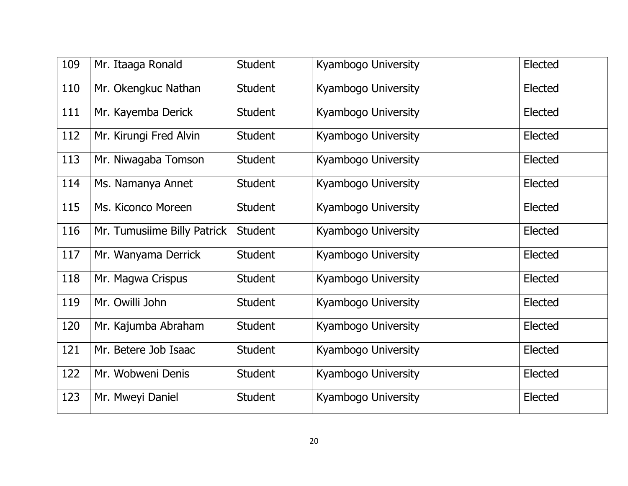| 109 | Mr. Itaaga Ronald           | <b>Student</b> | Kyambogo University | Elected |
|-----|-----------------------------|----------------|---------------------|---------|
| 110 | Mr. Okengkuc Nathan         | <b>Student</b> | Kyambogo University | Elected |
| 111 | Mr. Kayemba Derick          | <b>Student</b> | Kyambogo University | Elected |
| 112 | Mr. Kirungi Fred Alvin      | <b>Student</b> | Kyambogo University | Elected |
| 113 | Mr. Niwagaba Tomson         | <b>Student</b> | Kyambogo University | Elected |
| 114 | Ms. Namanya Annet           | <b>Student</b> | Kyambogo University | Elected |
| 115 | Ms. Kiconco Moreen          | <b>Student</b> | Kyambogo University | Elected |
| 116 | Mr. Tumusiime Billy Patrick | <b>Student</b> | Kyambogo University | Elected |
| 117 | Mr. Wanyama Derrick         | <b>Student</b> | Kyambogo University | Elected |
| 118 | Mr. Magwa Crispus           | <b>Student</b> | Kyambogo University | Elected |
| 119 | Mr. Owilli John             | <b>Student</b> | Kyambogo University | Elected |
| 120 | Mr. Kajumba Abraham         | <b>Student</b> | Kyambogo University | Elected |
| 121 | Mr. Betere Job Isaac        | <b>Student</b> | Kyambogo University | Elected |
| 122 | Mr. Wobweni Denis           | <b>Student</b> | Kyambogo University | Elected |
| 123 | Mr. Mweyi Daniel            | <b>Student</b> | Kyambogo University | Elected |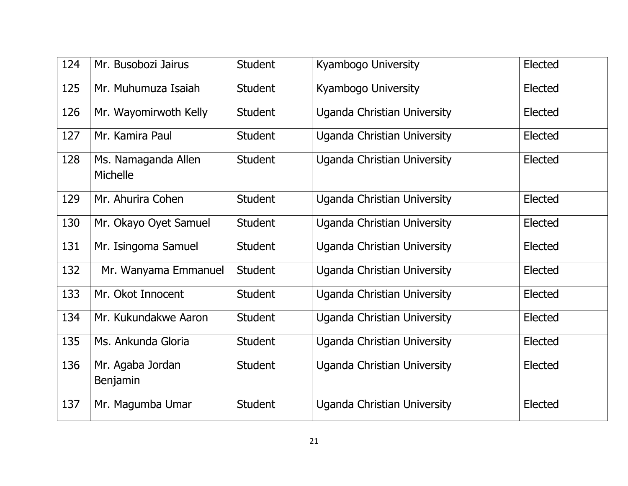| 124 | Mr. Busobozi Jairus                    | <b>Student</b> | Kyambogo University                | Elected |
|-----|----------------------------------------|----------------|------------------------------------|---------|
| 125 | Mr. Muhumuza Isaiah                    | <b>Student</b> | Kyambogo University                | Elected |
| 126 | Mr. Wayomirwoth Kelly                  | Student        | Uganda Christian University        | Elected |
| 127 | Mr. Kamira Paul                        | <b>Student</b> | Uganda Christian University        | Elected |
| 128 | Ms. Namaganda Allen<br><b>Michelle</b> | <b>Student</b> | Uganda Christian University        | Elected |
| 129 | Mr. Ahurira Cohen                      | <b>Student</b> | Uganda Christian University        | Elected |
| 130 | Mr. Okayo Oyet Samuel                  | <b>Student</b> | Uganda Christian University        | Elected |
| 131 | Mr. Isingoma Samuel                    | <b>Student</b> | Uganda Christian University        | Elected |
| 132 | Mr. Wanyama Emmanuel                   | <b>Student</b> | Uganda Christian University        | Elected |
| 133 | Mr. Okot Innocent                      | <b>Student</b> | Uganda Christian University        | Elected |
| 134 | Mr. Kukundakwe Aaron                   | <b>Student</b> | <b>Uganda Christian University</b> | Elected |
| 135 | Ms. Ankunda Gloria                     | <b>Student</b> | Uganda Christian University        | Elected |
| 136 | Mr. Agaba Jordan<br>Benjamin           | <b>Student</b> | Uganda Christian University        | Elected |
| 137 | Mr. Magumba Umar                       | <b>Student</b> | Uganda Christian University        | Elected |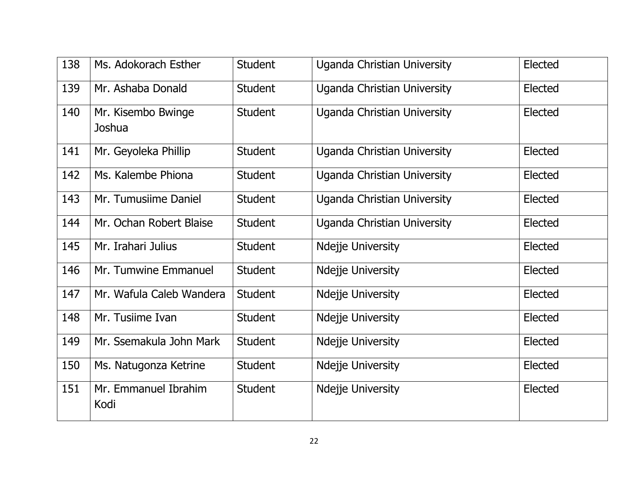| 138 | Ms. Adokorach Esther         | <b>Student</b> | <b>Uganda Christian University</b> | Elected |
|-----|------------------------------|----------------|------------------------------------|---------|
| 139 | Mr. Ashaba Donald            | <b>Student</b> | Uganda Christian University        | Elected |
| 140 | Mr. Kisembo Bwinge<br>Joshua | <b>Student</b> | <b>Uganda Christian University</b> | Elected |
| 141 | Mr. Geyoleka Phillip         | <b>Student</b> | <b>Uganda Christian University</b> | Elected |
| 142 | Ms. Kalembe Phiona           | <b>Student</b> | Uganda Christian University        | Elected |
| 143 | Mr. Tumusiime Daniel         | <b>Student</b> | Uganda Christian University        | Elected |
| 144 | Mr. Ochan Robert Blaise      | <b>Student</b> | <b>Uganda Christian University</b> | Elected |
| 145 | Mr. Irahari Julius           | <b>Student</b> | Ndejje University                  | Elected |
| 146 | Mr. Tumwine Emmanuel         | <b>Student</b> | Ndejje University                  | Elected |
| 147 | Mr. Wafula Caleb Wandera     | <b>Student</b> | <b>Ndejje University</b>           | Elected |
| 148 | Mr. Tusiime Ivan             | <b>Student</b> | Ndejje University                  | Elected |
| 149 | Mr. Ssemakula John Mark      | <b>Student</b> | <b>Ndejje University</b>           | Elected |
| 150 | Ms. Natugonza Ketrine        | <b>Student</b> | Ndejje University                  | Elected |
| 151 | Mr. Emmanuel Ibrahim<br>Kodi | <b>Student</b> | Ndejje University                  | Elected |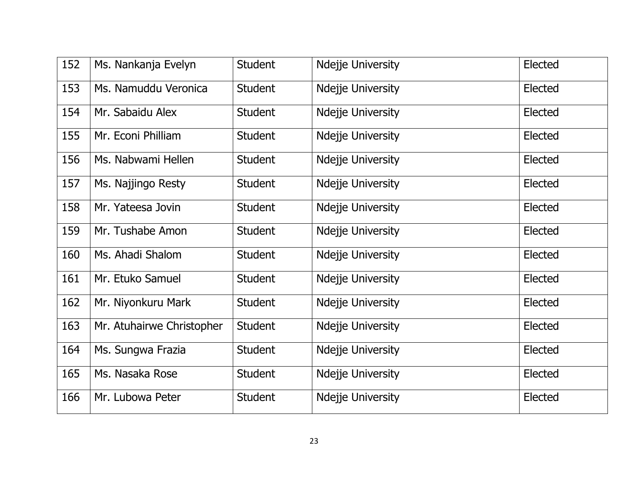| 152 | Ms. Nankanja Evelyn       | <b>Student</b> | Ndejje University        | Elected |
|-----|---------------------------|----------------|--------------------------|---------|
| 153 | Ms. Namuddu Veronica      | <b>Student</b> | Ndejje University        | Elected |
| 154 | Mr. Sabaidu Alex          | <b>Student</b> | <b>Ndejje University</b> | Elected |
| 155 | Mr. Econi Philliam        | <b>Student</b> | Ndejje University        | Elected |
| 156 | Ms. Nabwami Hellen        | <b>Student</b> | Ndejje University        | Elected |
| 157 | Ms. Najjingo Resty        | <b>Student</b> | <b>Ndejje University</b> | Elected |
| 158 | Mr. Yateesa Jovin         | <b>Student</b> | Ndejje University        | Elected |
| 159 | Mr. Tushabe Amon          | <b>Student</b> | Ndejje University        | Elected |
| 160 | Ms. Ahadi Shalom          | <b>Student</b> | Ndejje University        | Elected |
| 161 | Mr. Etuko Samuel          | <b>Student</b> | Ndejje University        | Elected |
| 162 | Mr. Niyonkuru Mark        | <b>Student</b> | Ndejje University        | Elected |
| 163 | Mr. Atuhairwe Christopher | <b>Student</b> | Ndejje University        | Elected |
| 164 | Ms. Sungwa Frazia         | <b>Student</b> | Ndejje University        | Elected |
| 165 | Ms. Nasaka Rose           | <b>Student</b> | Ndejje University        | Elected |
| 166 | Mr. Lubowa Peter          | <b>Student</b> | Ndejje University        | Elected |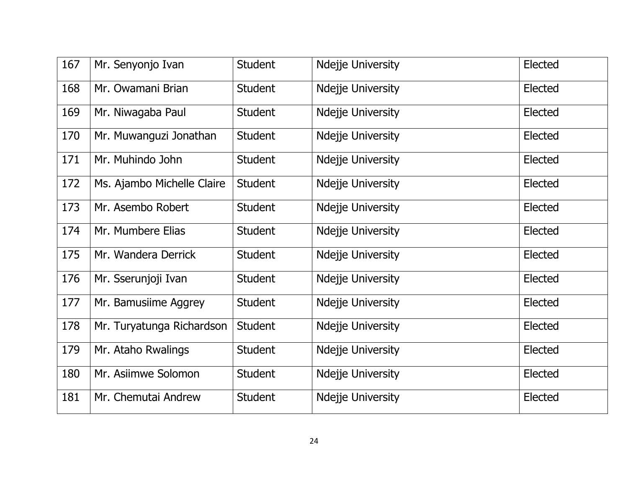| 167 | Mr. Senyonjo Ivan          | <b>Student</b> | Ndejje University        | Elected |
|-----|----------------------------|----------------|--------------------------|---------|
| 168 | Mr. Owamani Brian          | <b>Student</b> | Ndejje University        | Elected |
| 169 | Mr. Niwagaba Paul          | <b>Student</b> | <b>Ndejje University</b> | Elected |
| 170 | Mr. Muwanguzi Jonathan     | <b>Student</b> | Ndejje University        | Elected |
| 171 | Mr. Muhindo John           | <b>Student</b> | Ndejje University        | Elected |
| 172 | Ms. Ajambo Michelle Claire | <b>Student</b> | <b>Ndejje University</b> | Elected |
| 173 | Mr. Asembo Robert          | <b>Student</b> | Ndejje University        | Elected |
| 174 | Mr. Mumbere Elias          | <b>Student</b> | Ndejje University        | Elected |
| 175 | Mr. Wandera Derrick        | <b>Student</b> | Ndejje University        | Elected |
| 176 | Mr. Sserunjoji Ivan        | <b>Student</b> | Ndejje University        | Elected |
| 177 | Mr. Bamusiime Aggrey       | <b>Student</b> | Ndejje University        | Elected |
| 178 | Mr. Turyatunga Richardson  | <b>Student</b> | Ndejje University        | Elected |
| 179 | Mr. Ataho Rwalings         | <b>Student</b> | Ndejje University        | Elected |
| 180 | Mr. Asiimwe Solomon        | <b>Student</b> | Ndejje University        | Elected |
| 181 | Mr. Chemutai Andrew        | <b>Student</b> | Ndejje University        | Elected |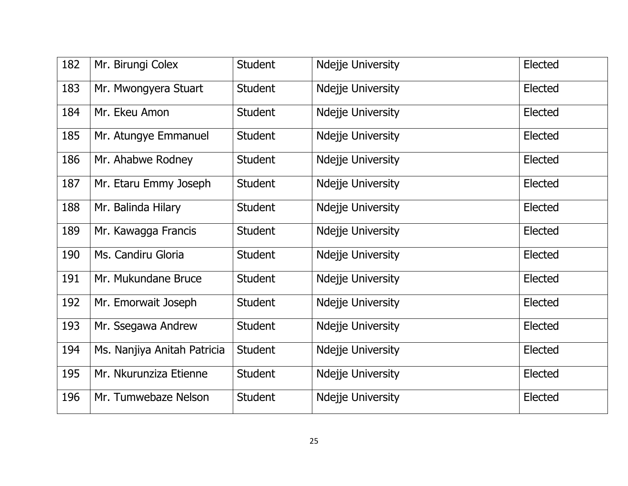| 182 | Mr. Birungi Colex           | <b>Student</b> | Ndejje University        | Elected |
|-----|-----------------------------|----------------|--------------------------|---------|
| 183 | Mr. Mwongyera Stuart        | <b>Student</b> | Ndejje University        | Elected |
| 184 | Mr. Ekeu Amon               | <b>Student</b> | <b>Ndejje University</b> | Elected |
| 185 | Mr. Atungye Emmanuel        | <b>Student</b> | Ndejje University        | Elected |
| 186 | Mr. Ahabwe Rodney           | <b>Student</b> | Ndejje University        | Elected |
| 187 | Mr. Etaru Emmy Joseph       | <b>Student</b> | Ndejje University        | Elected |
| 188 | Mr. Balinda Hilary          | <b>Student</b> | Ndejje University        | Elected |
| 189 | Mr. Kawagga Francis         | <b>Student</b> | Ndejje University        | Elected |
| 190 | Ms. Candiru Gloria          | <b>Student</b> | Ndejje University        | Elected |
| 191 | Mr. Mukundane Bruce         | <b>Student</b> | Ndejje University        | Elected |
| 192 | Mr. Emorwait Joseph         | <b>Student</b> | Ndejje University        | Elected |
| 193 | Mr. Ssegawa Andrew          | <b>Student</b> | Ndejje University        | Elected |
| 194 | Ms. Nanjiya Anitah Patricia | <b>Student</b> | Ndejje University        | Elected |
| 195 | Mr. Nkurunziza Etienne      | <b>Student</b> | Ndejje University        | Elected |
| 196 | Mr. Tumwebaze Nelson        | <b>Student</b> | Ndejje University        | Elected |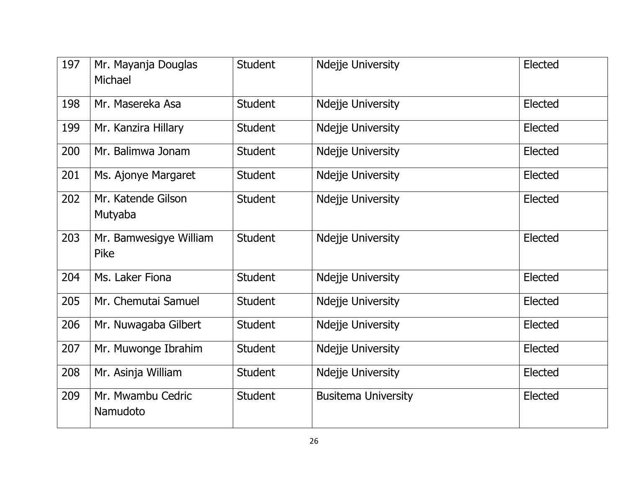| 197 | Mr. Mayanja Douglas<br>Michael | <b>Student</b> | Ndejje University          | Elected |
|-----|--------------------------------|----------------|----------------------------|---------|
| 198 | Mr. Masereka Asa               | <b>Student</b> | Ndejje University          | Elected |
| 199 | Mr. Kanzira Hillary            | <b>Student</b> | Ndejje University          | Elected |
| 200 | Mr. Balimwa Jonam              | <b>Student</b> | Ndejje University          | Elected |
| 201 | Ms. Ajonye Margaret            | <b>Student</b> | <b>Ndejje University</b>   | Elected |
| 202 | Mr. Katende Gilson<br>Mutyaba  | <b>Student</b> | Ndejje University          | Elected |
| 203 | Mr. Bamwesigye William<br>Pike | <b>Student</b> | Ndejje University          | Elected |
| 204 | Ms. Laker Fiona                | <b>Student</b> | Ndejje University          | Elected |
| 205 | Mr. Chemutai Samuel            | <b>Student</b> | Ndejje University          | Elected |
| 206 | Mr. Nuwagaba Gilbert           | <b>Student</b> | Ndejje University          | Elected |
| 207 | Mr. Muwonge Ibrahim            | <b>Student</b> | Ndejje University          | Elected |
| 208 | Mr. Asinja William             | <b>Student</b> | Ndejje University          | Elected |
| 209 | Mr. Mwambu Cedric<br>Namudoto  | <b>Student</b> | <b>Busitema University</b> | Elected |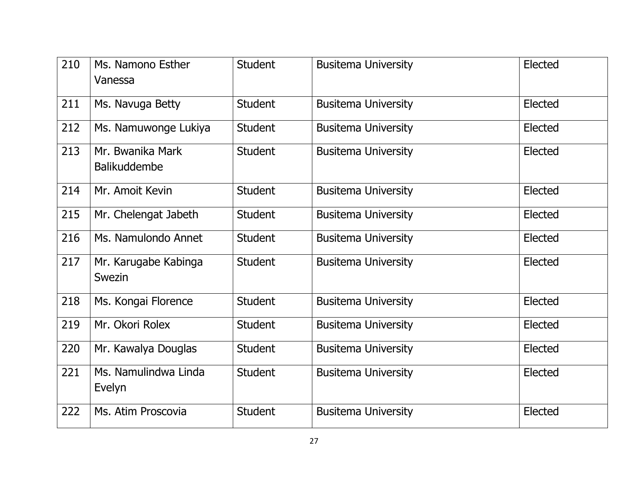| 210 | Ms. Namono Esther<br>Vanessa            | <b>Student</b> | <b>Busitema University</b> | Elected |
|-----|-----------------------------------------|----------------|----------------------------|---------|
| 211 | Ms. Navuga Betty                        | <b>Student</b> | <b>Busitema University</b> | Elected |
| 212 | Ms. Namuwonge Lukiya                    | <b>Student</b> | <b>Busitema University</b> | Elected |
| 213 | Mr. Bwanika Mark<br><b>Balikuddembe</b> | <b>Student</b> | <b>Busitema University</b> | Elected |
| 214 | Mr. Amoit Kevin                         | <b>Student</b> | <b>Busitema University</b> | Elected |
| 215 | Mr. Chelengat Jabeth                    | <b>Student</b> | <b>Busitema University</b> | Elected |
| 216 | Ms. Namulondo Annet                     | <b>Student</b> | <b>Busitema University</b> | Elected |
| 217 | Mr. Karugabe Kabinga<br>Swezin          | <b>Student</b> | <b>Busitema University</b> | Elected |
| 218 | Ms. Kongai Florence                     | <b>Student</b> | <b>Busitema University</b> | Elected |
| 219 | Mr. Okori Rolex                         | <b>Student</b> | <b>Busitema University</b> | Elected |
| 220 | Mr. Kawalya Douglas                     | <b>Student</b> | <b>Busitema University</b> | Elected |
| 221 | Ms. Namulindwa Linda<br>Evelyn          | <b>Student</b> | <b>Busitema University</b> | Elected |
| 222 | Ms. Atim Proscovia                      | <b>Student</b> | <b>Busitema University</b> | Elected |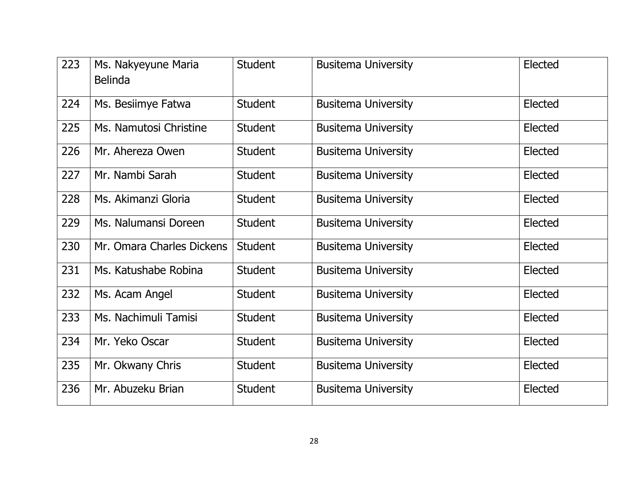| 223 | Ms. Nakyeyune Maria<br><b>Belinda</b> | <b>Student</b> | <b>Busitema University</b> | Elected |
|-----|---------------------------------------|----------------|----------------------------|---------|
|     |                                       |                |                            |         |
| 224 | Ms. Besiimye Fatwa                    | <b>Student</b> | <b>Busitema University</b> | Elected |
| 225 | Ms. Namutosi Christine                | <b>Student</b> | <b>Busitema University</b> | Elected |
| 226 | Mr. Ahereza Owen                      | <b>Student</b> | <b>Busitema University</b> | Elected |
| 227 | Mr. Nambi Sarah                       | <b>Student</b> | <b>Busitema University</b> | Elected |
| 228 | Ms. Akimanzi Gloria                   | <b>Student</b> | <b>Busitema University</b> | Elected |
| 229 | Ms. Nalumansi Doreen                  | <b>Student</b> | <b>Busitema University</b> | Elected |
| 230 | Mr. Omara Charles Dickens             | <b>Student</b> | <b>Busitema University</b> | Elected |
| 231 | Ms. Katushabe Robina                  | <b>Student</b> | <b>Busitema University</b> | Elected |
| 232 | Ms. Acam Angel                        | <b>Student</b> | <b>Busitema University</b> | Elected |
| 233 | Ms. Nachimuli Tamisi                  | <b>Student</b> | <b>Busitema University</b> | Elected |
| 234 | Mr. Yeko Oscar                        | <b>Student</b> | <b>Busitema University</b> | Elected |
| 235 | Mr. Okwany Chris                      | <b>Student</b> | <b>Busitema University</b> | Elected |
| 236 | Mr. Abuzeku Brian                     | <b>Student</b> | <b>Busitema University</b> | Elected |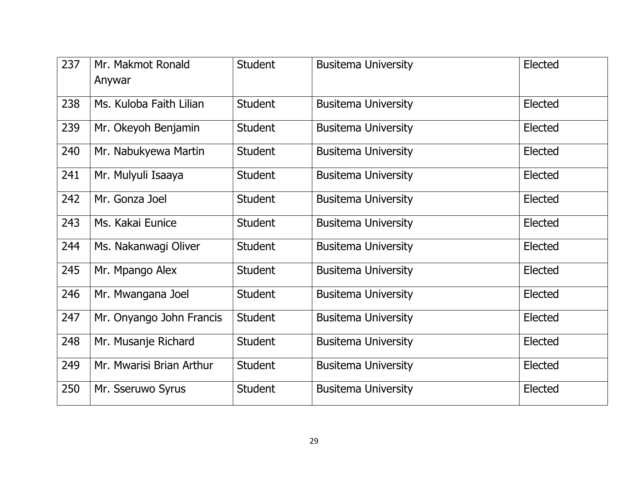| 237 | Mr. Makmot Ronald<br>Anywar | <b>Student</b> | <b>Busitema University</b> | Elected |
|-----|-----------------------------|----------------|----------------------------|---------|
| 238 | Ms. Kuloba Faith Lilian     | <b>Student</b> | <b>Busitema University</b> | Elected |
| 239 | Mr. Okeyoh Benjamin         | <b>Student</b> | <b>Busitema University</b> | Elected |
| 240 | Mr. Nabukyewa Martin        | <b>Student</b> | <b>Busitema University</b> | Elected |
| 241 | Mr. Mulyuli Isaaya          | <b>Student</b> | <b>Busitema University</b> | Elected |
| 242 | Mr. Gonza Joel              | <b>Student</b> | <b>Busitema University</b> | Elected |
| 243 | Ms. Kakai Eunice            | <b>Student</b> | <b>Busitema University</b> | Elected |
| 244 | Ms. Nakanwagi Oliver        | <b>Student</b> | <b>Busitema University</b> | Elected |
| 245 | Mr. Mpango Alex             | <b>Student</b> | <b>Busitema University</b> | Elected |
| 246 | Mr. Mwangana Joel           | <b>Student</b> | <b>Busitema University</b> | Elected |
| 247 | Mr. Onyango John Francis    | <b>Student</b> | <b>Busitema University</b> | Elected |
| 248 | Mr. Musanje Richard         | <b>Student</b> | <b>Busitema University</b> | Elected |
| 249 | Mr. Mwarisi Brian Arthur    | <b>Student</b> | <b>Busitema University</b> | Elected |
| 250 | Mr. Sseruwo Syrus           | <b>Student</b> | <b>Busitema University</b> | Elected |